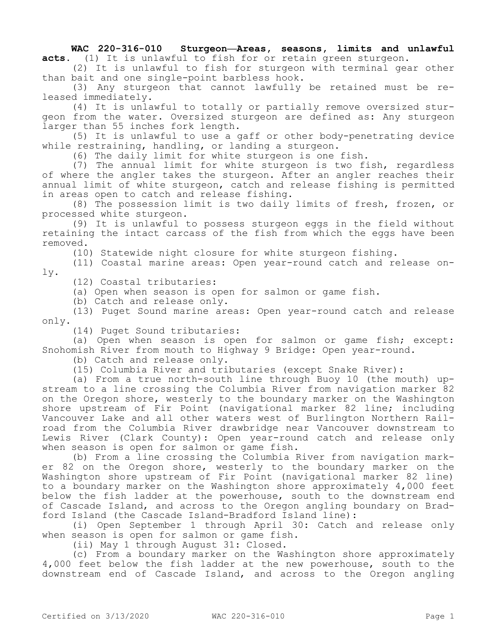**WAC 220-316-010 Sturgeon—Areas, seasons, limits and unlawful acts.** (1) It is unlawful to fish for or retain green sturgeon.

(2) It is unlawful to fish for sturgeon with terminal gear other than bait and one single-point barbless hook.

(3) Any sturgeon that cannot lawfully be retained must be released immediately.

(4) It is unlawful to totally or partially remove oversized sturgeon from the water. Oversized sturgeon are defined as: Any sturgeon larger than 55 inches fork length.

(5) It is unlawful to use a gaff or other body-penetrating device while restraining, handling, or landing a sturgeon.

(6) The daily limit for white sturgeon is one fish.

(7) The annual limit for white sturgeon is two fish, regardless of where the angler takes the sturgeon. After an angler reaches their annual limit of white sturgeon, catch and release fishing is permitted in areas open to catch and release fishing.

(8) The possession limit is two daily limits of fresh, frozen, or processed white sturgeon.

(9) It is unlawful to possess sturgeon eggs in the field without retaining the intact carcass of the fish from which the eggs have been removed.

(10) Statewide night closure for white sturgeon fishing.

(11) Coastal marine areas: Open year-round catch and release on-

ly.

(12) Coastal tributaries:

(a) Open when season is open for salmon or game fish.

(b) Catch and release only.

(13) Puget Sound marine areas: Open year-round catch and release only.

(14) Puget Sound tributaries:

(a) Open when season is open for salmon or game fish; except: Snohomish River from mouth to Highway 9 Bridge: Open year-round.

(b) Catch and release only.

(15) Columbia River and tributaries (except Snake River):

(a) From a true north-south line through Buoy 10 (the mouth) upstream to a line crossing the Columbia River from navigation marker 82 on the Oregon shore, westerly to the boundary marker on the Washington shore upstream of Fir Point (navigational marker 82 line; including Vancouver Lake and all other waters west of Burlington Northern Railroad from the Columbia River drawbridge near Vancouver downstream to Lewis River (Clark County): Open year-round catch and release only when season is open for salmon or game fish.

(b) From a line crossing the Columbia River from navigation marker 82 on the Oregon shore, westerly to the boundary marker on the Washington shore upstream of Fir Point (navigational marker 82 line) to a boundary marker on the Washington shore approximately 4,000 feet below the fish ladder at the powerhouse, south to the downstream end of Cascade Island, and across to the Oregon angling boundary on Bradford Island (the Cascade Island-Bradford Island line):

(i) Open September 1 through April 30: Catch and release only when season is open for salmon or game fish.

(ii) May 1 through August 31: Closed.

(c) From a boundary marker on the Washington shore approximately 4,000 feet below the fish ladder at the new powerhouse, south to the downstream end of Cascade Island, and across to the Oregon angling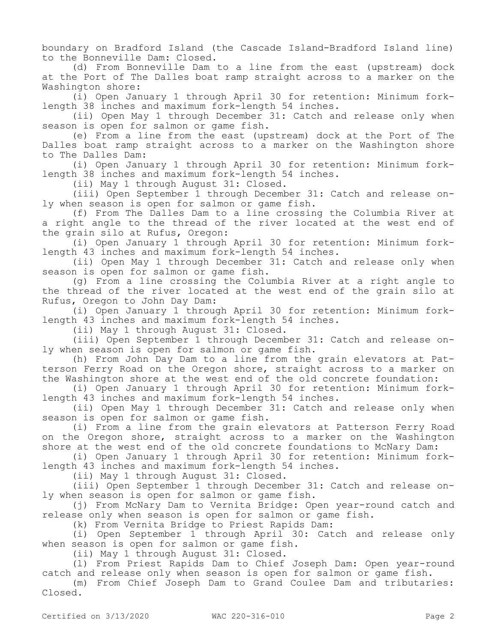boundary on Bradford Island (the Cascade Island-Bradford Island line) to the Bonneville Dam: Closed.

(d) From Bonneville Dam to a line from the east (upstream) dock at the Port of The Dalles boat ramp straight across to a marker on the Washington shore:

(i) Open January 1 through April 30 for retention: Minimum forklength 38 inches and maximum fork-length 54 inches.

(ii) Open May 1 through December 31: Catch and release only when season is open for salmon or game fish.

(e) From a line from the east (upstream) dock at the Port of The Dalles boat ramp straight across to a marker on the Washington shore to The Dalles Dam:

(i) Open January 1 through April 30 for retention: Minimum forklength 38 inches and maximum fork-length 54 inches.

(ii) May 1 through August 31: Closed.

(iii) Open September 1 through December 31: Catch and release only when season is open for salmon or game fish.

(f) From The Dalles Dam to a line crossing the Columbia River at a right angle to the thread of the river located at the west end of the grain silo at Rufus, Oregon:

(i) Open January 1 through April 30 for retention: Minimum forklength 43 inches and maximum fork-length 54 inches.

(ii) Open May 1 through December 31: Catch and release only when season is open for salmon or game fish.

(g) From a line crossing the Columbia River at a right angle to the thread of the river located at the west end of the grain silo at Rufus, Oregon to John Day Dam:

(i) Open January 1 through April 30 for retention: Minimum forklength 43 inches and maximum fork-length 54 inches.

(ii) May 1 through August 31: Closed.

(iii) Open September 1 through December 31: Catch and release only when season is open for salmon or game fish.

(h) From John Day Dam to a line from the grain elevators at Patterson Ferry Road on the Oregon shore, straight across to a marker on the Washington shore at the west end of the old concrete foundation:

(i) Open January 1 through April 30 for retention: Minimum forklength 43 inches and maximum fork-length 54 inches.

(ii) Open May 1 through December 31: Catch and release only when season is open for salmon or game fish.

(i) From a line from the grain elevators at Patterson Ferry Road on the Oregon shore, straight across to a marker on the Washington shore at the west end of the old concrete foundations to McNary Dam:

(i) Open January 1 through April 30 for retention: Minimum forklength 43 inches and maximum fork-length 54 inches.

(ii) May 1 through August 31: Closed.

(iii) Open September 1 through December 31: Catch and release only when season is open for salmon or game fish.

(j) From McNary Dam to Vernita Bridge: Open year-round catch and release only when season is open for salmon or game fish.

(k) From Vernita Bridge to Priest Rapids Dam:

(i) Open September 1 through April 30: Catch and release only when season is open for salmon or game fish.

(ii) May 1 through August 31: Closed.

(l) From Priest Rapids Dam to Chief Joseph Dam: Open year-round catch and release only when season is open for salmon or game fish.

(m) From Chief Joseph Dam to Grand Coulee Dam and tributaries: Closed.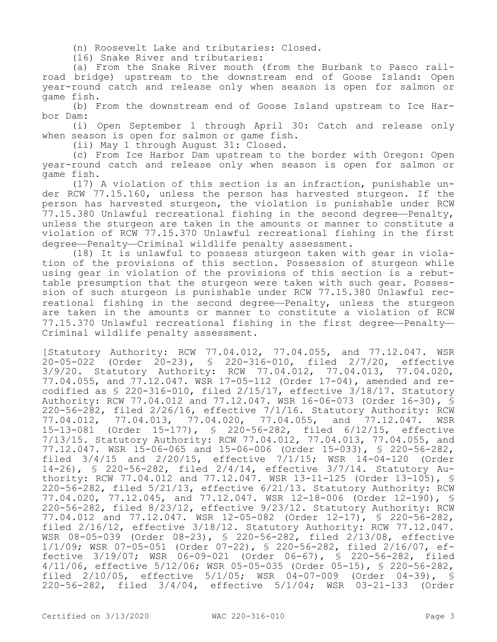(n) Roosevelt Lake and tributaries: Closed.

(16) Snake River and tributaries:

(a) From the Snake River mouth (from the Burbank to Pasco railroad bridge) upstream to the downstream end of Goose Island: Open year-round catch and release only when season is open for salmon or game fish.

(b) From the downstream end of Goose Island upstream to Ice Harbor Dam:

(i) Open September 1 through April 30: Catch and release only when season is open for salmon or game fish.

(ii) May 1 through August 31: Closed.

(c) From Ice Harbor Dam upstream to the border with Oregon: Open year-round catch and release only when season is open for salmon or game fish.

(17) A violation of this section is an infraction, punishable under RCW 77.15.160, unless the person has harvested sturgeon. If the person has harvested sturgeon, the violation is punishable under RCW 77.15.380 Unlawful recreational fishing in the second degree—Penalty, unless the sturgeon are taken in the amounts or manner to constitute a violation of RCW 77.15.370 Unlawful recreational fishing in the first degree—Penalty—Criminal wildlife penalty assessment.

(18) It is unlawful to possess sturgeon taken with gear in violation of the provisions of this section. Possession of sturgeon while using gear in violation of the provisions of this section is a rebuttable presumption that the sturgeon were taken with such gear. Possession of such sturgeon is punishable under RCW 77.15.380 Unlawful recreational fishing in the second degree—Penalty, unless the sturgeon are taken in the amounts or manner to constitute a violation of RCW 77.15.370 Unlawful recreational fishing in the first degree—Penalty— Criminal wildlife penalty assessment.

[Statutory Authority: RCW 77.04.012, 77.04.055, and 77.12.047. WSR 20-05-022 (Order 20-23), § 220-316-010, filed 2/7/20, effective 3/9/20. Statutory Authority: RCW 77.04.012, 77.04.013, 77.04.020, 77.04.055, and 77.12.047. WSR 17-05-112 (Order 17-04), amended and recodified as § 220-316-010, filed 2/15/17, effective 3/18/17. Statutory Authority: RCW 77.04.012 and 77.12.047. WSR 16-06-073 (Order 16-30), § 220-56-282, filed 2/26/16, effective 7/1/16. Statutory Authority: RCW 77.04.012, 77.04.013, 77.04.020, 77.04.055, and 77.12.047. WSR 15-13-081 (Order 15-177), § 220-56-282, filed 6/12/15, effective 7/13/15. Statutory Authority: RCW 77.04.012, 77.04.013, 77.04.055, and 77.12.047. WSR 15-06-065 and 15-06-006 (Order 15-033), § 220-56-282, filed 3/4/15 and 2/20/15, effective 7/1/15; WSR 14-04-120 (Order 14-26), § 220-56-282, filed 2/4/14, effective 3/7/14. Statutory Authority: RCW 77.04.012 and 77.12.047. WSR 13-11-125 (Order 13-105), § 220-56-282, filed 5/21/13, effective 6/21/13. Statutory Authority: RCW 77.04.020, 77.12.045, and 77.12.047. WSR 12-18-006 (Order 12-190), § 220-56-282, filed 8/23/12, effective 9/23/12. Statutory Authority: RCW 77.04.012 and 77.12.047. WSR 12-05-082 (Order 12-17), § 220-56-282, filed 2/16/12, effective 3/18/12. Statutory Authority: RCW 77.12.047. WSR 08-05-039 (Order 08-23), § 220-56-282, filed 2/13/08, effective 1/1/09; WSR 07-05-051 (Order 07-22), § 220-56-282, filed 2/16/07, effective 3/19/07; WSR 06-09-021 (Order 06-67), § 220-56-282, filed 4/11/06, effective 5/12/06; WSR 05-05-035 (Order 05-15), § 220-56-282, filed 2/10/05, effective 5/1/05; WSR 04-07-009 (Order 04-39), § 220-56-282, filed 3/4/04, effective 5/1/04; WSR 03-21-133 (Order